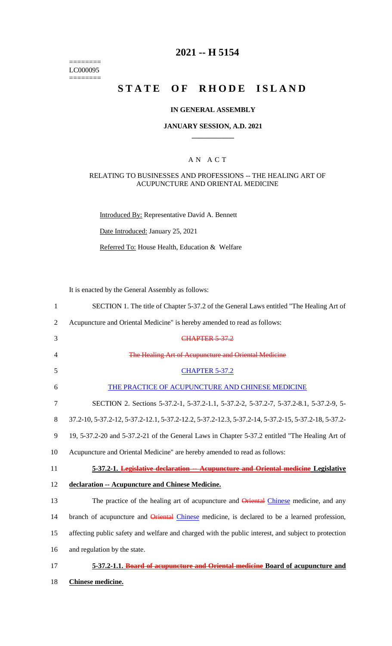======== LC000095  $=$ 

# **2021 -- H 5154**

# **STATE OF RHODE ISLAND**

### **IN GENERAL ASSEMBLY**

### **JANUARY SESSION, A.D. 2021 \_\_\_\_\_\_\_\_\_\_\_\_**

### A N A C T

### RELATING TO BUSINESSES AND PROFESSIONS -- THE HEALING ART OF ACUPUNCTURE AND ORIENTAL MEDICINE

Introduced By: Representative David A. Bennett

Date Introduced: January 25, 2021

Referred To: House Health, Education & Welfare

It is enacted by the General Assembly as follows:

| $\mathbf{1}$   | SECTION 1. The title of Chapter 5-37.2 of the General Laws entitled "The Healing Art of             |
|----------------|-----------------------------------------------------------------------------------------------------|
| $\overline{2}$ | Acupuncture and Oriental Medicine" is hereby amended to read as follows:                            |
| 3              | <b>CHAPTER 5-37.2</b>                                                                               |
| 4              | The Healing Art of Acupuncture and Oriental Medicine                                                |
| 5              | <b>CHAPTER 5-37.2</b>                                                                               |
| 6              | THE PRACTICE OF ACUPUNCTURE AND CHINESE MEDICINE                                                    |
| $\overline{7}$ | SECTION 2. Sections 5-37.2-1, 5-37.2-1.1, 5-37.2-2, 5-37.2-7, 5-37.2-8.1, 5-37.2-9, 5-              |
| 8              | 37.2-10, 5-37.2-12, 5-37.2-12.1, 5-37.2-12.2, 5-37.2-12.3, 5-37.2-14, 5-37.2-15, 5-37.2-18, 5-37.2- |
| 9              | 19, 5-37.2-20 and 5-37.2-21 of the General Laws in Chapter 5-37.2 entitled "The Healing Art of      |
| 10             | Acupuncture and Oriental Medicine" are hereby amended to read as follows:                           |
| 11             | 5-37.2-1. Legislative declaration -- Acupuncture and Oriental medicine Legislative                  |
| 12             | declaration -- Acupuncture and Chinese Medicine.                                                    |
| 13             | The practice of the healing art of acupuncture and Oriental Chinese medicine, and any               |
| 14             | branch of acupuncture and Oriental Chinese medicine, is declared to be a learned profession,        |
| 15             | affecting public safety and welfare and charged with the public interest, and subject to protection |
| 16             | and regulation by the state.                                                                        |
| 17             | 5-37.2-1.1. Board of acupuncture and Oriental medicine Board of acupuncture and                     |
| 18             | Chinese medicine.                                                                                   |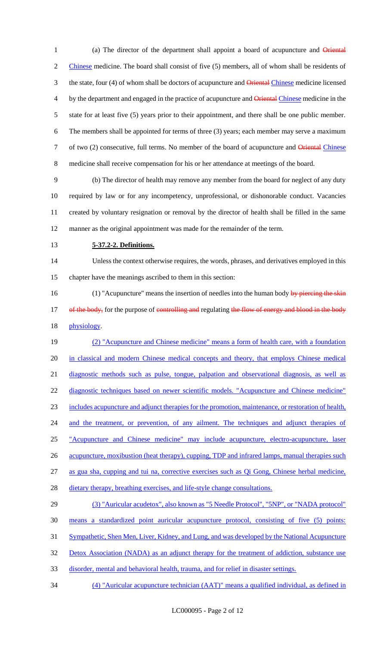1 (a) The director of the department shall appoint a board of acupuncture and Oriental Chinese medicine. The board shall consist of five (5) members, all of whom shall be residents of 3 the state, four (4) of whom shall be doctors of acupuncture and **Oriental Chinese** medicine licensed 4 by the department and engaged in the practice of acupuncture and **Oriental Chinese medicine in the**  state for at least five (5) years prior to their appointment, and there shall be one public member. The members shall be appointed for terms of three (3) years; each member may serve a maximum 7 of two (2) consecutive, full terms. No member of the board of acupuncture and Oriental Chinese medicine shall receive compensation for his or her attendance at meetings of the board.

 (b) The director of health may remove any member from the board for neglect of any duty required by law or for any incompetency, unprofessional, or dishonorable conduct. Vacancies created by voluntary resignation or removal by the director of health shall be filled in the same manner as the original appointment was made for the remainder of the term.

### **5-37.2-2. Definitions.**

 Unless the context otherwise requires, the words, phrases, and derivatives employed in this chapter have the meanings ascribed to them in this section:

16 (1) "Acupuncture" means the insertion of needles into the human body by piercing the skin 17 of the body, for the purpose of controlling and regulating the flow of energy and blood in the body physiology.

 (2) "Acupuncture and Chinese medicine" means a form of health care, with a foundation in classical and modern Chinese medical concepts and theory, that employs Chinese medical 21 diagnostic methods such as pulse, tongue, palpation and observational diagnosis, as well as diagnostic techniques based on newer scientific models. "Acupuncture and Chinese medicine" includes acupuncture and adjunct therapies for the promotion, maintenance, or restoration of health, 24 and the treatment, or prevention, of any ailment. The techniques and adjunct therapies of "Acupuncture and Chinese medicine" may include acupuncture, electro-acupuncture, laser 26 acupuncture, moxibustion (heat therapy), cupping, TDP and infrared lamps, manual therapies such 27 as gua sha, cupping and tui na, corrective exercises such as Qi Gong, Chinese herbal medicine, 28 dietary therapy, breathing exercises, and life-style change consultations.

# (3) "Auricular acudetox", also known as "5 Needle Protocol", "5NP", or "NADA protocol" means a standardized point auricular acupuncture protocol, consisting of five (5) points: Sympathetic, Shen Men, Liver, Kidney, and Lung, and was developed by the National Acupuncture

32 Detox Association (NADA) as an adjunct therapy for the treatment of addiction, substance use

disorder, mental and behavioral health, trauma, and for relief in disaster settings.

(4) "Auricular acupuncture technician (AAT)" means a qualified individual, as defined in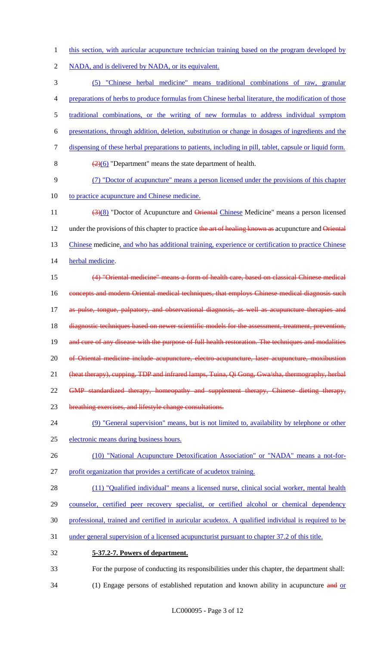1 this section, with auricular acupuncture technician training based on the program developed by

2 NADA, and is delivered by NADA, or its equivalent.

 (5) "Chinese herbal medicine" means traditional combinations of raw, granular preparations of herbs to produce formulas from Chinese herbal literature, the modification of those traditional combinations, or the writing of new formulas to address individual symptom presentations, through addition, deletion, substitution or change in dosages of ingredients and the dispensing of these herbal preparations to patients, including in pill, tablet, capsule or liquid form.  $\left(\frac{2}{0}\right)$  "Department" means the state department of health. (7) "Doctor of acupuncture" means a person licensed under the provisions of this chapter 10 to practice acupuncture and Chinese medicine. 11 (3)(8) "Doctor of Acupuncture and Oriental Chinese Medicine" means a person licensed 12 under the provisions of this chapter to practice the art of healing known as acupuncture and Oriental Chinese medicine, and who has additional training, experience or certification to practice Chinese 14 herbal medicine. (4) "Oriental medicine" means a form of health care, based on classical Chinese medical 16 concepts and modern Oriental medical techniques, that employs Chinese medical diagnosis such 17 as pulse, tongue, palpatory, and observational diagnosis, as well as acupuncture therapies and 18 diagnostic techniques based on newer scientific models for the assessment, treatment, prevention, 19 and cure of any disease with the purpose of full health restoration. The techniques and modalities 20 of Oriental medicine include acupuncture, electro-acupuncture, laser acupuncture, moxibustion (heat therapy), cupping, TDP and infrared lamps, Tuina, Qi Gong, Gwa/sha, thermography, herbal 22 GMP standardized therapy, homeopathy and supplement therapy, Chinese dieting therapy, breathing exercises, and lifestyle change consultations. (9) "General supervision" means, but is not limited to, availability by telephone or other electronic means during business hours. (10) "National Acupuncture Detoxification Association" or "NADA" means a not-for- profit organization that provides a certificate of acudetox training. 28 (11) "Qualified individual" means a licensed nurse, clinical social worker, mental health 29 counselor, certified peer recovery specialist, or certified alcohol or chemical dependency professional, trained and certified in auricular acudetox. A qualified individual is required to be under general supervision of a licensed acupuncturist pursuant to chapter 37.2 of this title. **5-37.2-7. Powers of department.** For the purpose of conducting its responsibilities under this chapter, the department shall:

- 
- 34 (1) Engage persons of established reputation and known ability in acupuncture and or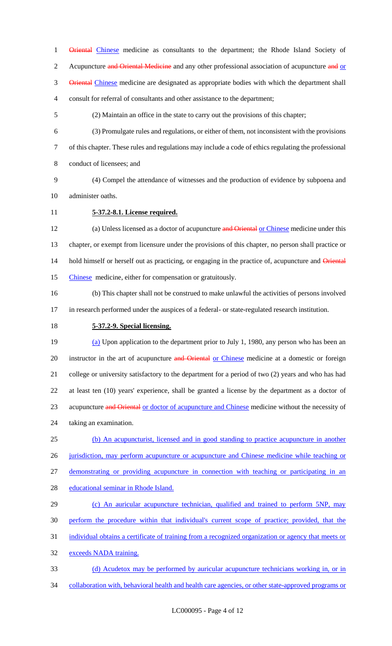1 Oriental Chinese medicine as consultants to the department; the Rhode Island Society of 2 Acupuncture and Oriental Medicine and any other professional association of acupuncture and or 3 Oriental Chinese medicine are designated as appropriate bodies with which the department shall consult for referral of consultants and other assistance to the department;

(2) Maintain an office in the state to carry out the provisions of this chapter;

 (3) Promulgate rules and regulations, or either of them, not inconsistent with the provisions of this chapter. These rules and regulations may include a code of ethics regulating the professional

conduct of licensees; and

- (4) Compel the attendance of witnesses and the production of evidence by subpoena and
- administer oaths.
- 

### **5-37.2-8.1. License required.**

12 (a) Unless licensed as a doctor of acupuncture and Oriental or Chinese medicine under this chapter, or exempt from licensure under the provisions of this chapter, no person shall practice or 14 hold himself or herself out as practicing, or engaging in the practice of, acupuncture and Oriental Chinese medicine, either for compensation or gratuitously.

 (b) This chapter shall not be construed to make unlawful the activities of persons involved in research performed under the auspices of a federal- or state-regulated research institution.

**5-37.2-9. Special licensing.**

 (a) Upon application to the department prior to July 1, 1980, any person who has been an 20 instructor in the art of acupuncture and Oriental or Chinese medicine at a domestic or foreign college or university satisfactory to the department for a period of two (2) years and who has had at least ten (10) years' experience, shall be granted a license by the department as a doctor of 23 acupuncture and Oriental or doctor of acupuncture and Chinese medicine without the necessity of taking an examination.

 (b) An acupuncturist, licensed and in good standing to practice acupuncture in another 26 jurisdiction, may perform acupuncture or acupuncture and Chinese medicine while teaching or

demonstrating or providing acupuncture in connection with teaching or participating in an

educational seminar in Rhode Island.

29 (c) An auricular acupuncture technician, qualified and trained to perform 5NP, may

- perform the procedure within that individual's current scope of practice; provided, that the
- individual obtains a certificate of training from a recognized organization or agency that meets or
- 32 exceeds NADA training.
- (d) Acudetox may be performed by auricular acupuncture technicians working in, or in collaboration with, behavioral health and health care agencies, or other state-approved programs or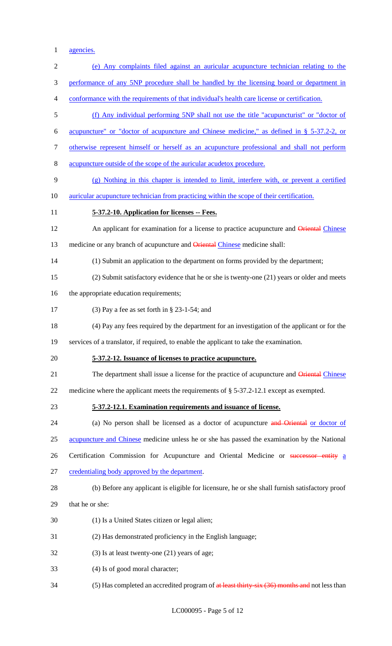1 agencies.

| $\sqrt{2}$     | (e) Any complaints filed against an auricular acupuncture technician relating to the             |
|----------------|--------------------------------------------------------------------------------------------------|
| 3              | performance of any 5NP procedure shall be handled by the licensing board or department in        |
| $\overline{4}$ | conformance with the requirements of that individual's health care license or certification.     |
| 5              | (f) Any individual performing 5NP shall not use the title "acupuncturist" or "doctor of          |
| 6              | acupuncture" or "doctor of acupuncture and Chinese medicine," as defined in § 5-37.2-2, or       |
| $\tau$         | otherwise represent himself or herself as an acupuncture professional and shall not perform      |
| $8\,$          | acupuncture outside of the scope of the auricular acudetox procedure.                            |
| 9              | (g) Nothing in this chapter is intended to limit, interfere with, or prevent a certified         |
| 10             | <u>auricular acupuncture technician from practicing within the scope of their certification.</u> |
| 11             | 5-37.2-10. Application for licenses -- Fees.                                                     |
| 12             | An applicant for examination for a license to practice acupuncture and Oriental Chinese          |
| 13             | medicine or any branch of acupuncture and Oriental Chinese medicine shall:                       |
| 14             | (1) Submit an application to the department on forms provided by the department;                 |
| 15             | (2) Submit satisfactory evidence that he or she is twenty-one (21) years or older and meets      |
| 16             | the appropriate education requirements;                                                          |
| 17             | (3) Pay a fee as set forth in $\S$ 23-1-54; and                                                  |
| 18             | (4) Pay any fees required by the department for an investigation of the applicant or for the     |
| 19             | services of a translator, if required, to enable the applicant to take the examination.          |
| 20             | 5-37.2-12. Issuance of licenses to practice acupuncture.                                         |
| 21             | The department shall issue a license for the practice of acupuncture and <b>Oriental Chinese</b> |
| 22             | medicine where the applicant meets the requirements of $\S$ 5-37.2-12.1 except as exempted.      |
| 23             | 5-37.2-12.1. Examination requirements and issuance of license.                                   |
| 24             | (a) No person shall be licensed as a doctor of acupuncture and Oriental or doctor of             |
| 25             | acupuncture and Chinese medicine unless he or she has passed the examination by the National     |
| 26             | Certification Commission for Acupuncture and Oriental Medicine or successor entity a             |
| 27             | credentialing body approved by the department.                                                   |
| 28             | (b) Before any applicant is eligible for licensure, he or she shall furnish satisfactory proof   |
| 29             | that he or she:                                                                                  |
| 30             | (1) Is a United States citizen or legal alien;                                                   |
| 31             | (2) Has demonstrated proficiency in the English language;                                        |
| 32             | $(3)$ Is at least twenty-one $(21)$ years of age;                                                |
| 33             | (4) Is of good moral character;                                                                  |
| 34             | (5) Has completed an accredited program of at least thirty-six (36) months and not less than     |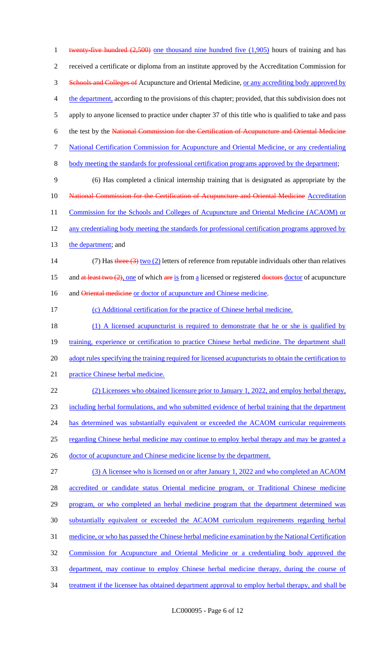1 twenty-five hundred (2,500) one thousand nine hundred five (1,905) hours of training and has 2 received a certificate or diploma from an institute approved by the Accreditation Commission for 3 Schools and Colleges of Acupuncture and Oriental Medicine, or any accrediting body approved by 4 the department, according to the provisions of this chapter; provided, that this subdivision does not 5 apply to anyone licensed to practice under chapter 37 of this title who is qualified to take and pass 6 the test by the National Commission for the Certification of Acupuncture and Oriental Medicine 7 National Certification Commission for Acupuncture and Oriental Medicine, or any credentialing 8 body meeting the standards for professional certification programs approved by the department; 9 (6) Has completed a clinical internship training that is designated as appropriate by the 10 **National Commission for the Certification of Acupuncture and Oriental Medicine Accreditation** 11 Commission for the Schools and Colleges of Acupuncture and Oriental Medicine (ACAOM) or 12 any credentialing body meeting the standards for professional certification programs approved by 13 the department; and 14 (7) Has three  $(3)$  two  $(2)$  letters of reference from reputable individuals other than relatives 15 and at least two  $(2)$ , one of which are is from a licensed or registered doctors doctor of acupuncture 16 and Oriental medicine or doctor of acupuncture and Chinese medicine. 17 (c) Additional certification for the practice of Chinese herbal medicine. 18 (1) A licensed acupuncturist is required to demonstrate that he or she is qualified by 19 training, experience or certification to practice Chinese herbal medicine. The department shall 20 adopt rules specifying the training required for licensed acupuncturists to obtain the certification to 21 practice Chinese herbal medicine. 22 (2) Licensees who obtained licensure prior to January 1, 2022, and employ herbal therapy, 23 including herbal formulations, and who submitted evidence of herbal training that the department 24 has determined was substantially equivalent or exceeded the ACAOM curricular requirements 25 regarding Chinese herbal medicine may continue to employ herbal therapy and may be granted a 26 doctor of acupuncture and Chinese medicine license by the department. 27 (3) A licensee who is licensed on or after January 1, 2022 and who completed an ACAOM 28 accredited or candidate status Oriental medicine program, or Traditional Chinese medicine 29 program, or who completed an herbal medicine program that the department determined was 30 substantially equivalent or exceeded the ACAOM curriculum requirements regarding herbal 31 medicine, or who has passed the Chinese herbal medicine examination by the National Certification 32 Commission for Acupuncture and Oriental Medicine or a credentialing body approved the 33 department, may continue to employ Chinese herbal medicine therapy, during the course of 34 treatment if the licensee has obtained department approval to employ herbal therapy, and shall be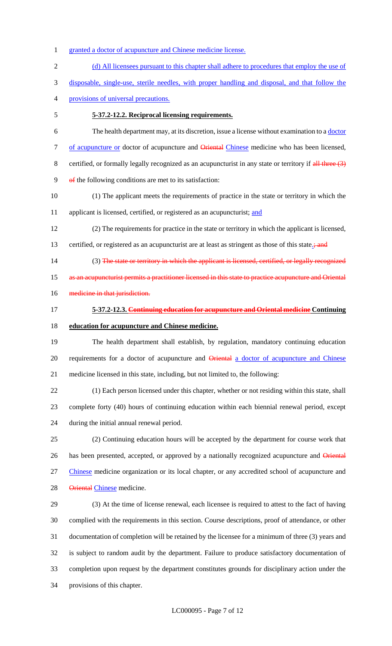- 1 granted a doctor of acupuncture and Chinese medicine license.
- 2 (d) All licensees pursuant to this chapter shall adhere to procedures that employ the use of disposable, single-use, sterile needles, with proper handling and disposal, and that follow the
- provisions of universal precautions.
- 

### **5-37.2-12.2. Reciprocal licensing requirements.**

- The health department may, at its discretion, issue a license without examination to a doctor 7 of acupuncture or doctor of acupuncture and **Oriental Chinese** medicine who has been licensed, 8 certified, or formally legally recognized as an acupuncturist in any state or territory if  $\frac{dH}{dt}$  three  $(3)$ of the following conditions are met to its satisfaction:
- (1) The applicant meets the requirements of practice in the state or territory in which the
- 11 applicant is licensed, certified, or registered as an acupuncturist; and
- (2) The requirements for practice in the state or territory in which the applicant is licensed,
- 13 certified, or registered as an acupuncturist are at least as stringent as those of this state.<sup>;</sup> and
- 14 (3) The state or territory in which the applicant is licensed, certified, or legally recognized
- 15 as an acupuncturist permits a practitioner licensed in this state to practice acupuncture and Oriental
- 16 medicine in that jurisdiction.
- **5-37.2-12.3. Continuing education for acupuncture and Oriental medicine Continuing education for acupuncture and Chinese medicine.**
- The health department shall establish, by regulation, mandatory continuing education 20 requirements for a doctor of acupuncture and Oriental a doctor of acupuncture and Chinese medicine licensed in this state, including, but not limited to, the following:
- (1) Each person licensed under this chapter, whether or not residing within this state, shall complete forty (40) hours of continuing education within each biennial renewal period, except during the initial annual renewal period.
- (2) Continuing education hours will be accepted by the department for course work that 26 has been presented, accepted, or approved by a nationally recognized acupuncture and Oriental Chinese medicine organization or its local chapter, or any accredited school of acupuncture and 28 Oriental Chinese medicine.
- (3) At the time of license renewal, each licensee is required to attest to the fact of having complied with the requirements in this section. Course descriptions, proof of attendance, or other documentation of completion will be retained by the licensee for a minimum of three (3) years and is subject to random audit by the department. Failure to produce satisfactory documentation of completion upon request by the department constitutes grounds for disciplinary action under the provisions of this chapter.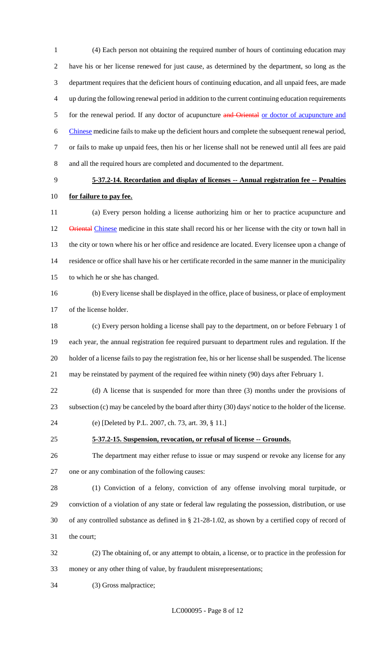(4) Each person not obtaining the required number of hours of continuing education may have his or her license renewed for just cause, as determined by the department, so long as the department requires that the deficient hours of continuing education, and all unpaid fees, are made up during the following renewal period in addition to the current continuing education requirements 5 for the renewal period. If any doctor of acupuncture and Oriental or doctor of acupuncture and Chinese medicine fails to make up the deficient hours and complete the subsequent renewal period, or fails to make up unpaid fees, then his or her license shall not be renewed until all fees are paid and all the required hours are completed and documented to the department.

# **5-37.2-14. Recordation and display of licenses -- Annual registration fee -- Penalties for failure to pay fee.**

 (a) Every person holding a license authorizing him or her to practice acupuncture and 12 Oriental Chinese medicine in this state shall record his or her license with the city or town hall in the city or town where his or her office and residence are located. Every licensee upon a change of residence or office shall have his or her certificate recorded in the same manner in the municipality to which he or she has changed.

 (b) Every license shall be displayed in the office, place of business, or place of employment of the license holder.

 (c) Every person holding a license shall pay to the department, on or before February 1 of each year, the annual registration fee required pursuant to department rules and regulation. If the holder of a license fails to pay the registration fee, his or her license shall be suspended. The license may be reinstated by payment of the required fee within ninety (90) days after February 1.

- (d) A license that is suspended for more than three (3) months under the provisions of subsection (c) may be canceled by the board after thirty (30) days' notice to the holder of the license.
- (e) [Deleted by P.L. 2007, ch. 73, art. 39, § 11.]

### **5-37.2-15. Suspension, revocation, or refusal of license -- Grounds.**

 The department may either refuse to issue or may suspend or revoke any license for any one or any combination of the following causes:

 (1) Conviction of a felony, conviction of any offense involving moral turpitude, or conviction of a violation of any state or federal law regulating the possession, distribution, or use of any controlled substance as defined in § 21-28-1.02, as shown by a certified copy of record of the court;

- (2) The obtaining of, or any attempt to obtain, a license, or to practice in the profession for money or any other thing of value, by fraudulent misrepresentations;
- (3) Gross malpractice;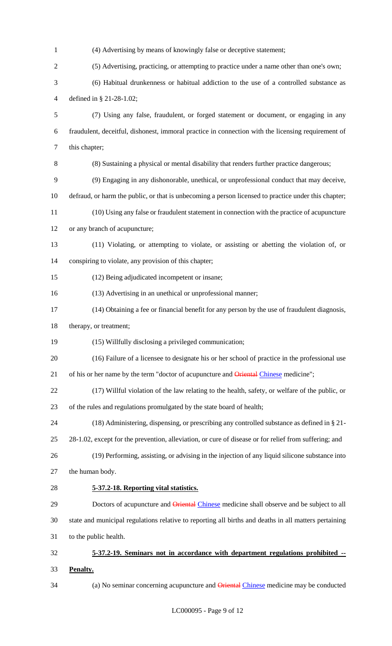| $\mathbf{1}$   | (4) Advertising by means of knowingly false or deceptive statement;                                   |
|----------------|-------------------------------------------------------------------------------------------------------|
| $\overline{c}$ | (5) Advertising, practicing, or attempting to practice under a name other than one's own;             |
| 3              | (6) Habitual drunkenness or habitual addiction to the use of a controlled substance as                |
| $\overline{4}$ | defined in § 21-28-1.02;                                                                              |
| 5              | (7) Using any false, fraudulent, or forged statement or document, or engaging in any                  |
| 6              | fraudulent, deceitful, dishonest, immoral practice in connection with the licensing requirement of    |
| $\tau$         | this chapter;                                                                                         |
| $8\,$          | (8) Sustaining a physical or mental disability that renders further practice dangerous;               |
| 9              | (9) Engaging in any dishonorable, unethical, or unprofessional conduct that may deceive,              |
| 10             | defraud, or harm the public, or that is unbecoming a person licensed to practice under this chapter;  |
| 11             | (10) Using any false or fraudulent statement in connection with the practice of acupuncture           |
| 12             | or any branch of acupuncture;                                                                         |
| 13             | (11) Violating, or attempting to violate, or assisting or abetting the violation of, or               |
| 14             | conspiring to violate, any provision of this chapter;                                                 |
| 15             | (12) Being adjudicated incompetent or insane;                                                         |
| 16             | (13) Advertising in an unethical or unprofessional manner;                                            |
| 17             | (14) Obtaining a fee or financial benefit for any person by the use of fraudulent diagnosis,          |
| 18             | therapy, or treatment;                                                                                |
| 19             | (15) Willfully disclosing a privileged communication;                                                 |
| 20             | (16) Failure of a licensee to designate his or her school of practice in the professional use         |
| 21             | of his or her name by the term "doctor of acupuncture and Oriental Chinese medicine";                 |
| 22             | (17) Willful violation of the law relating to the health, safety, or welfare of the public, or        |
| 23             | of the rules and regulations promulgated by the state board of health;                                |
| 24             | (18) Administering, dispensing, or prescribing any controlled substance as defined in § 21-           |
| 25             | 28-1.02, except for the prevention, alleviation, or cure of disease or for relief from suffering; and |
| 26             | (19) Performing, assisting, or advising in the injection of any liquid silicone substance into        |
| 27             | the human body.                                                                                       |
| 28             | 5-37.2-18. Reporting vital statistics.                                                                |
| 29             | Doctors of acupuncture and Oriental Chinese medicine shall observe and be subject to all              |
| 30             | state and municipal regulations relative to reporting all births and deaths in all matters pertaining |
| 31             | to the public health.                                                                                 |
| 32             | 5-37.2-19. Seminars not in accordance with department regulations prohibited --                       |
| 33             | Penalty.                                                                                              |

(a) No seminar concerning acupuncture and Oriental Chinese medicine may be conducted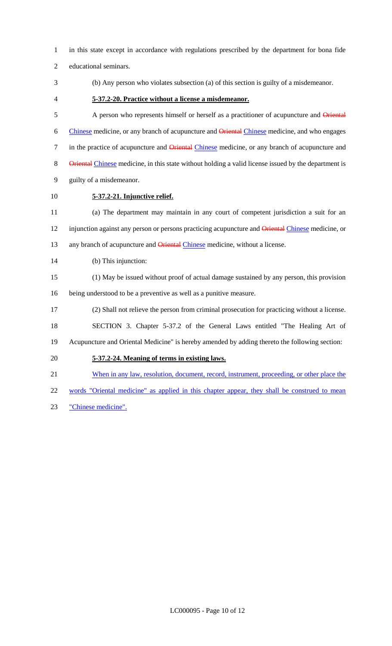- in this state except in accordance with regulations prescribed by the department for bona fide
- educational seminars.
- 
- (b) Any person who violates subsection (a) of this section is guilty of a misdemeanor.
- 

## **5-37.2-20. Practice without a license a misdemeanor.**

5 A person who represents himself or herself as a practitioner of acupuncture and Oriental 6 Chinese medicine, or any branch of acupuncture and Oriental Chinese medicine, and who engages 7 in the practice of acupuncture and **Oriental Chinese** medicine, or any branch of acupuncture and 8 Oriental Chinese medicine, in this state without holding a valid license issued by the department is guilty of a misdemeanor.

**5-37.2-21. Injunctive relief.**

 (a) The department may maintain in any court of competent jurisdiction a suit for an 12 injunction against any person or persons practicing acupuncture and Oriental Chinese medicine, or 13 any branch of acupuncture and Oriental Chinese medicine, without a license.

- (b) This injunction:
- (1) May be issued without proof of actual damage sustained by any person, this provision being understood to be a preventive as well as a punitive measure.
- (2) Shall not relieve the person from criminal prosecution for practicing without a license.

SECTION 3. Chapter 5-37.2 of the General Laws entitled "The Healing Art of

Acupuncture and Oriental Medicine" is hereby amended by adding thereto the following section:

### **5-37.2-24. Meaning of terms in existing laws.**

- 21 When in any law, resolution, document, record, instrument, proceeding, or other place the
- 22 words "Oriental medicine" as applied in this chapter appear, they shall be construed to mean
- "Chinese medicine".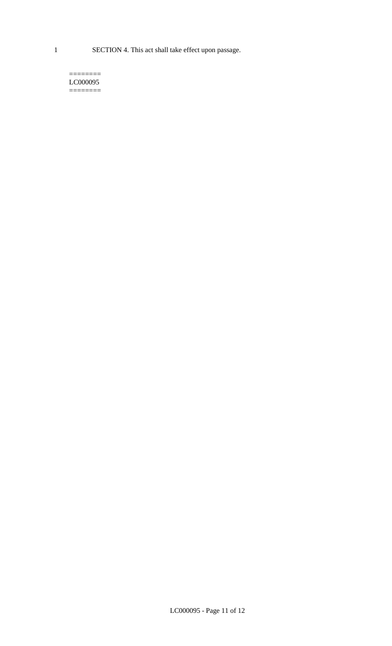1 SECTION 4. This act shall take effect upon passage.

#### $=$ LC000095  $=$